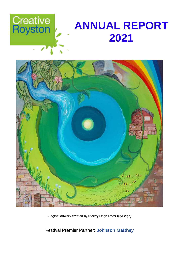



Original artwork created by Stacey Leigh-Ross (ByLeigh)

Festival Premier Partner: **Johnson Matthey**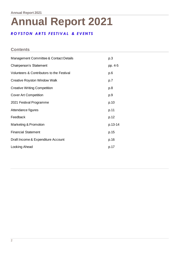# **Annual Report 2021**

# *R O Y S T O N A R T S F E S T I V A L & E V E N T S*

# **Contents**

| Management Committee & Contact Details    | p.3     |
|-------------------------------------------|---------|
| <b>Chairperson's Statement</b>            | pp. 4-5 |
| Volunteers & Contributors to the Festival | p.6     |
| <b>Creative Royston Window Walk</b>       | p.7     |
| <b>Creative Writing Competition</b>       | p.8     |
| <b>Cover Art Competition</b>              | p.9     |
| 2021 Festival Programme                   | p.10    |
| Attendance figures                        | p.11    |
| Feedback                                  | p.12    |
| Marketing & Promotion                     | p.13-14 |
| <b>Financial Statement</b>                | p.15    |
| Draft Income & Expenditure Account        | p.16    |
| Looking Ahead                             | p.17    |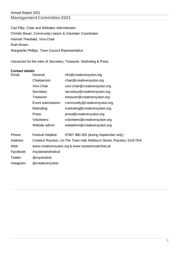Carl Filby, Chair and Websites Administrator Christin Bauer, Community Liaison & Volunteer Coordinator Hannah Theobald, Vice-Chair Ruth Brown Marguerite Phillips, Town Council Representative

Vacancies for the roles of Secretary, Treasurer, Marketing & Press.

# **Contact details**

| Email:     | General:                                                              | info@creativeroyston.org              |  |  |  |  |
|------------|-----------------------------------------------------------------------|---------------------------------------|--|--|--|--|
|            | Chairperson:                                                          | chair@creativeroyston.org             |  |  |  |  |
|            | Vice-Chair                                                            | vice-chair@creativeroyston.org        |  |  |  |  |
|            | Secretary:                                                            | secretary@creativeroyston.org         |  |  |  |  |
|            | Treasurer:                                                            | treasurer@creativeroyston.org         |  |  |  |  |
|            | Event submissions:                                                    | community@creativeroyston.org         |  |  |  |  |
|            | Marketing:                                                            | marketing@creativeroyston.org         |  |  |  |  |
|            | Press:                                                                | press@creativeroyston.org             |  |  |  |  |
|            | Volunteers:                                                           | volunteers@creativeroyston.org        |  |  |  |  |
|            | Website admin:                                                        | webadmin@creativeroyston.org          |  |  |  |  |
| Phone:     | Festival Helpline:                                                    | 07907 880 355 (during September only) |  |  |  |  |
| Address:   | Creative Royston, c/o The Town Hall, Melbourn Street, Royston, SG87DA |                                       |  |  |  |  |
| Web:       | www.creativeroyston.org & www.roystonmusicfest.uk                     |                                       |  |  |  |  |
| Facebook:  | /roystonartsfestival                                                  |                                       |  |  |  |  |
| Twitter:   | @royartsfest                                                          |                                       |  |  |  |  |
| Instagram: | @creativeroyston                                                      |                                       |  |  |  |  |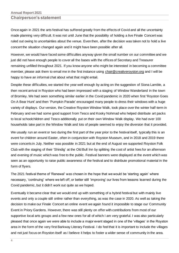Once again in 2021 the arts festival has suffered greatly from the effects of Covid and all the uncertainty made planning very difficult. It was not until June that the possibility of holding a live Finale Concert was ruled out owing to uncertainties about the venue. Even then, after the decision was taken not to hold a live concert the situation changed again and it might have been possible after all.

However, we would have faced some difficulties anyway given the small number on our committee and we just did not have enough people to cover all the bases with the offices of Secretary and Treasurer remaining unfilled throughout 2021. If you know anyone who might be interested in becoming a committee member, please ask them to email me in the first instance using [chair@creativeroyston.org](mailto:chair@creativeroyston.org) and I will be happy to have an informal chat about what that might entail.

Despite these difficulties, we started the year well enough by acting on the suggestion of Siona Lamble, a then recent arrival in Royston who had been impressed with a staging of Window Wanderland in the town of Bromley. We had seen something similar earlier in the Covid pandemic in 2020 when first 'Royston Goes On A Bear Hunt' and then 'Pumpkin Parade' encouraged many people to dress their windows with a huge variety of displays. Our version, the Creative Royston Window Walk, took place over the winter half-term in February and we had some good support from Tesco and Kooky Nohmad who helped distribute art packs to local schoolchildren and Tesco additionally put on their own Window Walk display. We had over 100 households take part in the Window Walk and lots of people seemed to enjoy the diversion that it provided.

We usually run an event or two during the first part of the year prior to the festival itself, typically this is an event for children around Easter, often in conjunction with Royston Museum, and in 2018 and 2019 there were concerts in July. Neither was possible in 2021 but at the end of August we supported Royston Folk Club with the staging of their 'Shindig' at the Old Bull Inn by splitting the cost of artist fees for an afternoon and evening of music which was free to the public. Festival banners were displayed at the event which was seen as an opportunity to raise public awareness of the festival and to distribute promotional material in the form of flyers.

The 2021 festival theme of 'Renewal' was chosen in the hope that we would be 'starting again' where necessary, 'continuing' where we left off, or better still 'improving' our lives from lessons learned during the Covid pandemic, but it didn't work out quite as we hoped.

Eventually it became clear that we would end up with something of a hybrid festival but with mainly live events and only a couple still online rather than everything, as was the case in 2020. As well as taking the decision to make our Finale Concert an online event we again found it impossible to stage our Community Event in Priory Gardens. However, there was still plenty on offer with contributions from most of our supportive local arts groups and a few new ones for all of which I am very grateful. I was also particularly pleased that once again we were able to include a major event staged in one of the 'villages' in the Royston area in the form of the very first Barkway Literary Festival. I do feel that it is important to include the villages and not just focus on Royston itself as I believe it helps to foster a wider sense of community in the area.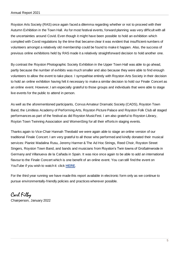Royston Arts Society (RAS) once again faced a dilemma regarding whether or not to proceed with their Autumn Exhibition in the Town Hall. As for most festival events, forward planning was very difficult with all the uncertainties around Covid. Even though it might have been possible to hold an exhibition which complied with Covid regulations by the time that became clear it was evident that insufficient numbers of volunteers amongst a relatively old membership could be found to make it happen. Also, the success of previous online exhibitions held by RAS made it a relatively straightforward decision to hold another one.

By contrast the Royston Photographic Society Exhibition in the Upper Town Hall was able to go ahead, partly because the number of exhibits was much smaller and also because they were able to find enough volunteers to allow the event to take place. I sympathise entirely with Royston Arts Society in their decision to hold an online exhibition having felt it necessary to make a similar decision to hold our Finale Concert as an online event. However, I am especially grateful to those groups and individuals that were able to stage live events for the public to attend in person.

As well as the aforementioned participants, Corvus Amateur Dramatic Society (CADS), Royston Town Band, the Limitless Academy of Performing Arts, Royston Picture Palace and Royston Folk Club all staged performances as part of the festival as did Royston MusicFest. I am also grateful to Royston Library, Royton Town Twinning Association and WomenSing for all their efforts in staging events.

Thanks again to Vice-Chair Hannah Theobald we were again able to stage an online version of our traditional Finale Concert. I am very grateful to all those who performed and kindly donated their musical services: Pianist Madalina Rusu, Jeremy Harmer & The Ad Hoc Strings, Reed Choir, Royston Street Singers, Royston Town Band, and bands and musicians from Royston's Twin towns of Großalmerode in Germany and Villanueva de la Cañada in Spain. It was nice once again to be able to add an international flavour to the Finale Concert which is one benefit of an online event. You can still find the event on YouTube if you wish to watch it: click **[HERE](https://www.youtube.com/watch?reload=9&v=g_IH0oGBqFc&feature=youtu.be)**.

For the third year running we have made this report available in electronic form only as we continue to pursue environmentally-friendly policies and practices wherever possible.

# Carl Filby Chairperson, January 2022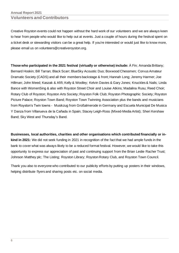# **Annual Report 2021 Volunteers and Contributors**

Creative Royston events could not happen without the hard work of our volunteers and we are always keen to hear from people who would like to help out at events. Just a couple of hours during the festival spent on a ticket desk or stewarding visitors can be a great help. If you're interested or would just like to know more, please email us on [volunteers@creativeroyston.org.](mailto:volunteers@creativeroyston.org)

**Those who participated in the 2021 festival (virtually or otherwise) include:** À Fin; Amanda Brittany; Bernard Hoskin; Bill Tarran; Black Scarr; BlueSky Acoustic Duo; Boxwood Chessmen; Corvus Amateur Dramatic Society (CADS) and all their members backstage & front; Hannah Long; Jeremy Harmer; Joe Hillman; John Meed; Kaszak & Afifi; Kelly & Woolley; Kelvin Davies & Gary Jones; Knuckles & Nails; Linda Bance with WomenSing & also with Royston Street Choir and Louise Atkins; Madalina Rusu; Reed Choir; Rotary Club of Royston; Royston Arts Society; Royston Folk Club; Royston Photographic Society; Royston Picture Palace; Royston Town Band; Royston Town Twinning Association plus the bands and musicians from Royston's Twin towns - Musikzug from Großalmerode in Germany and Escuela Municipal De Musica Y Danza from Villanueva de la Cañada in Spain; Stacey Leigh-Ross (Mixed-Media Artist); Sheri Kershaw Band; Sky West and Thursday's Band.

**Businesses, local authorities, charities and other organisations which contributed financially or inkind in 2021:** We did not seek funding in 2021 in recognition of the fact that we had ample funds in the bank to cover what was always likely to be a reduced format festival. However, we would like to take this opportunity to express our appreciation of past and continuing support from the Brian Leslie Racher Trust; Johnson Matthey plc; The Listing; Royston Library; Royston Rotary Club, and Royston Town Council.

Thank you also to everyone who contributed to our publicity efforts by putting up posters in their windows, helping distribute flyers and sharing posts etc. on social media.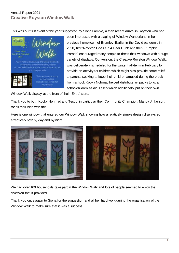This was our first event of the year suggested by Siona Lamble, a then recent arrival in Royston who had



been impressed with a staging of Window Wanderland in her previous home town of Bromley. Earlier in the Covid pandemic in 2020, first 'Royston Goes On A Bear Hunt' and then 'Pumpkin Parade' encouraged many people to dress their windows with a huge variety of displays. Our version, the Creative Royston Window Walk, was deliberately scheduled for the winter half-term in February to provide an activity for children which might also provide some relief to parents seeking to keep their children amused during the break from school. Kooky Nohmad helped distribute art packs to local schoolchildren as did Tesco which additionally put on their own

Window Walk display at the front of their 'Extra' store.

Thank you to both Kooky Nohmad and Tesco, in particular their Community Champion, Mandy Jinkerson, for all their help with this.

Here is one window that entered our Window Walk showing how a relatively simple design displays so effectively both by day and by night.



We had over 100 households take part in the Window Walk and lots of people seemed to enjoy the diversion that it provided.

Thank you once again to Siona for the suggestion and all her hard work during the organisation of the Window Walk to make sure that it was a success.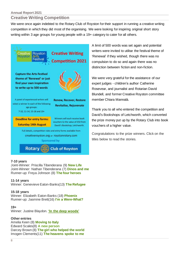# **Annual Report 2021**

# **Creative Writing Competition**

We were once again indebted to the Rotary Club of Royston for their support in running a creative writing competition in which they did most of the organising. We were looking for inspiring original short story writing within 3 age groups for young people with a 19+ category to cater for all others.



## **7-10 years**

Joint-Winner: Priscilla Tibenderana (9) **[New](http://www.creativeroyston.org/wp-content/uploads/2021/09/ptibenderanaNewLifeAge9.pdf) Life** Joint-Winner: Nathan Tibenderana (7) **[Dinos](http://www.creativeroyston.org/wp-content/uploads/2021/09/ntibenderanaDinosAndMeAge7.pdf) and me** Runner-up: Freya Johnson (8) **The four [heroes](http://www.creativeroyston.org/wp-content/uploads/2021/09/Freya-Johnson-The-four-heroes-scaled.jpg)**

## **11-14 years**

Winner: Genevieve Eaton-Banks(13) **The [Refugee](http://www.creativeroyston.org/wp-content/uploads/2021/09/geatonbankstherefugeeAge13.pdf)**

## **15-18 years**

Winner: Elizabeth Eaton-Banks (18) **[Phoenix](http://www.creativeroyston.org/wp-content/uploads/2021/09/eeatonbanksphoenixAge18.pdf)** Runner-up: Jasmine Brett(16) **I'm a [Were-What?](http://www.creativeroyston.org/wp-content/uploads/2021/09/jbrettIm-a-were-whatAge16.pdf)**

## **19+**

Winner: Justine Blaydon. **'In the deep [woods'](http://www.creativeroyston.org/wp-content/uploads/2021/09/jblaydoninthedeepwoods.pdf)**

## **Other entries**

Amelia Keen (8) **[Moving](http://www.creativeroyston.org/wp-content/uploads/2021/09/Amelia-Keen-Moving-to-Italy-scaled.jpeg) to Italy** Edward Scales(8) **A new [person](http://www.creativeroyston.org/wp-content/uploads/2021/09/escalesanewpersonAge8.pdf)** Darcey Brown (8) **The girl who [helped](http://www.creativeroyston.org/wp-content/uploads/2021/09/Darcey-Brown-The-girl-who-helped-the-world-scaled.jpg) the world** Imogen Clements(11) **The [heavens](http://www.creativeroyston.org/wp-content/uploads/2021/09/IClementsTheheavensspoketomeAge11.pdf) spoke to me**

A limit of 500 words was set again and potential writers were invited to utilise the festival theme of 'Renewal' if they wished, though there was no compulsion to do so and again there was no distinction between fiction and non-fiction.

We were very grateful for the assistance of our expert judges - children's author Catherine Rosevear, and journalist and Rotarian David Blundell, and former Creative Royston committee member Chiara Mannalà.

Thank you to all who entered the competition and David's Bookshops of Letchworth, which converted the prize money put up by the Rotary Club into book vouchers of a higher value.

Congratulations to the prize winners. Click on the titles below to read the stories.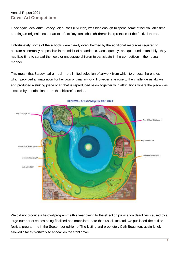# Annual Report 2021 **Cover Art Competition**

Once again local artist Stacey Leigh-Ross (ByLeigh) was kind enough to spend some of her valuable time creating an original piece of art to reflect Royston schoolchildren's interpretation of the festival theme.

Unfortunately, some of the schools were clearly overwhelmed by the additional resources required to operate as normally as possible in the midst of a pandemic. Consequently, and quite understandably, they had little time to spread the news or encourage children to participate in the competition in their usual manner.

This meant that Stacey had a much more limited selection of artwork from which to choose the entries which provided an inspiration for her own original artwork. However, she rose to the challenge as always and produced a striking piece of art that is reproduced below together with attributions where the piece was inspired by contributions from the children's entries.



**RENEWAL Artists' Map for RAF 2021** 

We did not produce a festival programme this year owing to the effect on publication deadlines caused by a large number of entries being finalised at a much later date than usual. Instead, we published the outline festival programme in the September edition of The Listing and proprietor, Cath Boughton, again kindly allowed Stacey's artwork to appear on the front cover.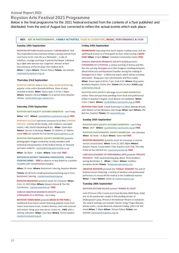# **Royston Arts Festival 2021 Programme**

Below is the final programme for the 2021 festival extracted from the contents of a flyer published and distributed from the end of August but corrected to reflect the actual events which took place.

KEY: ART & PHOTOGRAPHY , FAMILY ACTIVITIES, TALKS & LITERATURE, MUSIC, PERFORMANCE & FILM

#### Sunday 19th September

ROYSTON PICTURE PALACE presents 'I AM BELMAYA' (15) This inspirational documentary follows a young woman from care home to her new life as a filmmaker - a tale of rebellion, courage and hope in patriarchal Nepal. Followed by a Q&A with director Sue Carpenter. Winner of Best Documentary at the UK Asian Film Festival 2021. When: 7.30pm Where: Picture Palace Tickets: see website roystonpicturepalace.org.uk

#### **Thursday 23rd September**

ROYSTON LIBRARY host a TALK, Q&A, BOOK-SIGNING by popular crime writer Amanda Brittany. Glass of wine included in ticket. When: Doors open 7.15 for 7.30pm Where: Royston Library Tickets: £5 in person from Royston Library. hertfordshire.gov.uk/services

#### Saturday 25th September

ROYSTON ARTS SOCIETY AUTUMN EXHIBITION - see Friday.

When: 24/7 Where: rasexhibition.roystonarts.org.uk FREE

BARKWAY VILLAGE welcomes everyone to its first LITERARY FESTIVAL. Fun for all the family, with children's and adult events, café, David's Bookshop & bar. When: 10am-6pm Where: Venues in Barkway Tickets: £5 Children, £7 Adults, some FREE see website for full details barkwaylitfest.co.uk

ROYSTON PHOTOGRAPHIC SOCIETY EXHIBITION presents photographic images created by society members with individual interpretations of the festival theme of 'renewal' and open subjects. roystonphotographicsociety.co.uk

When: 10.30am - 4.30pm Where: Town Hall FREE

**ROYSTON & DISTRICT TWINNING ASSOCIATION - PAELLA** COOKING DEMO - FREE to observe or buy ticket for a portion of paella with complimentary Sangria.

When: 12 noon Where: Backstreet Catering, Royston Market

Tickets: £6.50 from info@roystontowntwinning.org or from Backstreet Catering. roystontowntwinning.org

ROYSTON MUSICFEST presents music for everyone. When: From 12.30/1.00pm Where: Banyers House & The Old Courthouse. roystonmusicfest.uk FREE

CORVUS AMATEUR DRAMATIC SOCIETY presents STRANGERS AT A FESTIVAL- see Friday

ROYSTON TOWN BAND presents BRASS IN THE PARK a traditional brass band concert featuring popular tunes from classic brass band music, modern themes, west end musicals and movies. Bring your own picnic, chairs etc.. FREE with a retiring collection. When: 7pm-9pm Where: Priory Gardens roystontownband.org.uk

#### Friday 24th September

WOMENSING sing songs that don't require reading music, but are uplifting & remind us of how good we feel, when having a GOOD SING! When: 4-5pm Where: Coombes Community Centre FREE

CORVUS AMATEUR DRAMATIC SOCIETY (CADS) presents STRANGERS AT A FESTIVAL a unique evening of drama and film, the one-act play Strangers on a Film imagines meetings between Alfred Hitchcock and Raymond Chandler during the making of Strangers on a Train - a Hitchcock classic which will be screened afterwards . Bring your own refreshments and find a table. When: Doors open 6.30 for 7 pm. Ends 9.45. Where: King James Academy Royston, Senior Site Tickets £10 on door (CASH only) cadsroyston.org.uk

ROYSTON ARTS SOCIETY will stage its AUTUMN EXHIBITION online. View and purchase paintings from local and professional artists in Royston's largest, most diverse art exhibition. When: From 7.30pm Where: rasexhibition.roystonarts.org.uk FREE

ROYSTON FOLK CLUB is back featuring Liz Cotton, Mandy Woods, John Meed, Cut the Mustard, John Drage When: 8pm Where: Old Bull Inn, Royston Tickets: £7 roystonfolk.org

#### Sunday 26th September

ROYSTON ARTS SOCIETY AUTUMN EXHIBITION - see Friday. When: 24/7 Where: rasexhibition.roystonarts.org.uk FREE

ROYSTON PHOTOGRAPHIC SOCIETY EXHIBITION - see Saturday When: 10.30am - 4.30pm Where: Town Hall FREE

ROYSTON MUSICFEST presents music for everyone in various venues around town. When: From 12.30/1.00pm Where: Banyers House, Conservative Club, Royston Golf Club, The Jolly Postie & The Old Bull Inn roystonmusicfest.uk FREE

LIMITLESS ACADEMY OF PERFORMING ARTS presents 'PRIVATE PEACEFUL' their award-winning play about three brothers during World War 1. When: 7.30pm Where: Limitless Academy Studio Tickets: limitlessacademyarts.com

CREATIVE ROYSTON presents the 'FINALE' CONCERT The end of festival concert featuring a variety of amateur and professional performers to round off the festival in the traditional manner. When: 7.30pm Where: online at creativeroyston.org

#### **Tuesday 28th September**

ROYSTON PICTURE PALACE present 'ROMEO & JULIET'

Josh O'Connor (The Crown) and Jessie Buckley (Wild Rose, Judy) star as the passionate couple in this exciting version of Shakespeare's play, filmed at the National Theatre in lockdown. The award-winning cast includes Tamsin Greig, Fisayo Akinade, Adrian Lester, Lucian Msamati, Deborah Findlay, (2021 UK 100) mins) When: 7.30pm Where Picture Palace Tickets: see website roystonpicturepalace.org.uk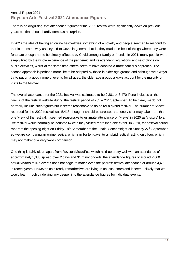There is no disguising that attendance figures for the 2021 festival were significantly down on previous years but that should hardly come as a surprise.

In 2020 the idea of having an online festival was something of a novelty and people seemed to respond to that in the same way as they did to Covid in general, that is, they made the best of things where they were fortunate enough not to be directly affected by Covid amongst family or friends. In 2021, many people were simply tired by the whole experience of the pandemic and its attendant regulations and restrictions on public activities, whilst at the same time others seem to have adopted a more cautious approach. The second approach is perhaps more like to be adopted by those in older age groups and although we always try to put on a good range of events for all ages, the older age groups always account for the majority of visits to the festival.

The overall attendance for the 2021 festival was estimated to be 2,381 or 3,470 if one includes all the 'views' of the festival website during the festival period of 23<sup>rd</sup> – 26<sup>th</sup> September. To be clear, we do not normally include such figures but it seems reasonable to do so for a hybrid festival. The number of 'views' recorded for the 2020 festival was 5,418, though it should be stressed that one visitor may take more than one 'view' of the festival. It seemed reasonable to estimate attendance on 'views' in 2020 as 'visitors' to a live festival would normally be counted twice if they visited more than one event. In 2020, the festival period ran from the opening night on Friday 18<sup>th</sup> September to the Finale Concert night on Sunday 27<sup>th</sup> September so we are comparing an online festival which ran for ten days, to a hybrid festival lasting only four, which may not make for a very valid comparison.

One thing is fairly clear, apart from Royston MusicFest which held up pretty well with an attendance of approximately 1,335 spread over 2 days and 31 mini-concerts, the attendance figures of around 2,000 actual visitors to live events does not begin to match even the poorest festival attendance of around 4,400 in recent years. However, as already remarked we are living in unusual times and it seem unlikely that we would learn much by delving any deeper into the attendance figures for individual events.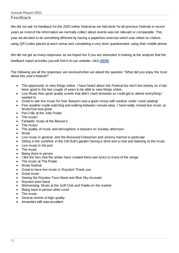We did not ask for feedback for the 2020 online festival as we had done for all previous festivals in recent years as most of the information we normally collect about events was not relevant or comparable. This year we decided to do something different by having a paperless exercise which was reliant on visitors using QR Codes placed at each venue and completing a very short questionnaire using their mobile phone.

We did not get as many responses as we hoped but if you are interested in looking at the analysis that the feedback report provides you will find it on our website: click **[HERE](http://www.creativeroyston.org/wp-content/uploads/2022/01/20211001_Feedback-Report-Creative-Royston.pdf)**

The following are all the responses we received when we asked the question "What did you enjoy the most about this year's festival?"

- The opportunity to view things online. I have heard about this Festival but don't live nearby so it has been good in the last couple of years to be able to view things online.
- Live Music Also good quality events that didn't clash timewise so could get to attend everything I wanted to
- Great to see live music for free. Banyers was a good venue with outdoor under cover seating!
- Fine weather made watching and walking between venues easy. I have really missed live music so MusicFest was great
- Pat Crilly at the Jolly Postie.
- The music!
- Fantastic music at the Banyar's
- The music!
- The quality of music and atmosphere in banyers on Sunday afternoon
- **Music**
- Live music in general, and the Boxwood Chessmen and Jeremy Harmer in particular
- Sitting in the sunshine in the Old Bull's garden having a drink and a chat and listening to the music
- Live music in the pub
- The music
- Being there in person
- I like the fact, that the artists have created there own lyrics to many of the songs
- The music at The Postie
- **Music festival**
- Great to have live music in Royston! Thank you
- Good music
- Seeing the Royston Town Band and Blue Sky Acoustic
- Royston town band
- Womensing, Music at the Golf Club and Paella on the market
- Being back in person after covid
- The music
- Diverse events of high quality
- Amanda's talk was excellent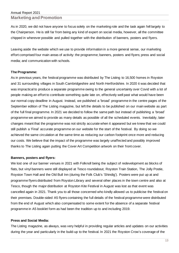# Annual Report 2021 **Marketing and Promotion**

As in 2020, we did not have anyone to focus solely on the marketing role and the task again fell largely to the Chairperson. He is still far from being any kind of expert on social media, however, all the committee chipped in wherever possible and pulled together with the distribution of banners, posters and flyers.

Leaving aside the website which we use to provide information in a more general sense, our marketing effort comprised four main areas of activity: the programme; banners, posters and flyers; press and social media; and communication with schools.

## **The Programme:**

As in previous years, the festival programme was distributed by The Listing to 16,500 homes in Royston and 31 surrounding villages in South Cambridgeshire and North Hertfordshire. In 2020 it was decided that was impractical to produce a separate programme owing to the general uncertainty over Covid with a lot of people making an effort to contribute something quite late on, effectively well past what would have been our normal copy deadline in August. Instead, we published a 'broad' programme in the centre pages of the September edition of The Listing magazine, but left the details to be published on our main website as part of the full final programme. In 2021 we decided to follow the same path but instead of publishing a 'broad' programme we aimed to provide as many details as possible of all the scheduled events. Inevitably, later changes meant that the programme was not strictly accurate when it appeared but we knew that we could still publish a 'Final' accurate programme on our website for the start of the festival. By doing so we achieved the same circulation at the same time as reducing our carbon footprint once more and reducing our costs. We believe that the impact of the programme was largely unaffected and possibly improved thanks to The Listing again putting the Cover Art Competition artwork on their front cover.

## **Banners, posters and flyers:**

We lost one of our banner venues in 2021 with Folknoll being the subject of redevelopment as blocks of flats, but vinyl banners were still displayed at Tesco roundabout, Royston Train Station, The Jolly Postie, Royston Town Hall and the Old Bull Inn (during the Folk Club's 'Shindig'). Posters were put up at and programme flyers distributed from Royston Library and several other places in the town centre and also at Tesco, though the major distribution at Royston Kite Festival in August was lost as that event was cancelled again in 2021. Thank you to all those concerned who kindly allowed us to publicise the festival on their premises. Double-sided A5 flyers containing the full details of the festival programme were distributed from the end of August which also compensated to some extent for the absence of a separate festival programme in A5 booklet form as had been the tradition up to and including 2019.

## **Press and Social Media:**

The Listing magazine, as always, was very helpful in providing regular articles and updates on our activities during the year and particularly in the build-up to the festival. In 2021 the Royston Crow's coverage of the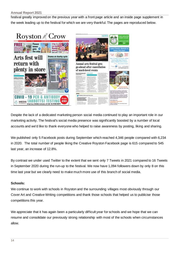### **Annual Report 2021**

festival greatly improved on the previous year with a front page article and an inside page supplement in the week leading up to the festival for which we are very thankful. The pages are reproduced below.



Despite the lack of a dedicated marketing person social media continued to play an important role in our marketing activity. The festival's social media presence was significantly boosted by a number of local accounts and we'd like to thank everyone who helped to raise awareness by posting, liking and sharing.

We published only 5 Facebook posts during September which reached 4,346 people compared with 6,234 in 2020. The total number of people liking the Creative Royston Facebook page is 615 compared to 545 last year, an increase of 12.8%.

By contrast we under used Twitter to the extent that we sent only 7 Tweets in 2021 compared to 16 Tweets in September 2020 during the run-up to the festival. We now have 1,094 followers down by only 8 on this time last year but we clearly need to make much more use of this branch of social media.

# **Schools:**

We continue to work with schools in Royston and the surrounding villages most obviously through our Cover Art and Creative Writing competitions and thank those schools that helped us to publicise those competitions this year.

We appreciate that it has again been a particularly difficult year for schools and we hope that we can resume and consolidate our previously strong relationship with most of the schools when circumstances allow.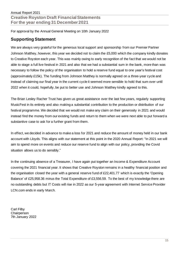For approval by the Annual General Meeting on 10th January 2022

# **Supporting Statement**

We are always very grateful for the generous local support and sponsorship from our Premier Partner Johnson Matthey, however, this year we decided not to claim the £5,000 which the company kindly donates to Creative Royston each year. This was mainly owing to early recognition of the fact that we would not be able to stage a full live festival in 2021 and also that we had a substantial sum in the bank, more than was necessary to follow the policy of the organisation to hold a reserve fund equal to one year's festival cost (approximately £15k). The funding from Johnson Matthey is normally agreed on a three-year cycle and instead of claiming our final year in the current cycle it seemed more sensible to hold that sum over until 2022 when it could, hopefully, be put to better use and Johnson Matthey kindly agreed to this.

The Brian Lesley Racher Trust has given us great assistance over the last few years, regularly supporting MusicFest in its entirety and also making a substantial contribution to the production or distribution of our festival programme. We decided that we would not make any claim on their generosity in 2021 and would instead find the money from our existing funds and return to them when we were next able to put forward a substantive case to ask for a further grant from them.

In effect, we decided in advance to make a loss for 2021 and reduce the amount of money held in our bank account with Lloyds. This aligns with our statement at this point in the 2020 Annual Report: "In 2021 we will aim to spend more on events and reduce our reserve fund to align with our policy, providing the Covid situation allows us to do sensibly."

In the continuing absence of a Treasurer, I have again put together an Income & Expenditure Account covering the 2021 financial year. It shows that Creative Royston remains in a healthy financial position and the organisation closed the year with a general reserve fund of £22,401.77 which is exactly the 'Opening Balance' of £25,958.36 minus the Total Expenditure of £3,556.59. To the best of my knowledge there are no outstanding debts but IT Costs will rise in 2022 as our 5-year agreement with Internet Service Provider LCN.com ends in early March.

Carl Filby **Chairperson** 7th January 2022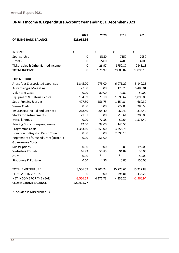# **DRAFT Income & Expenditure Account Year ending 31 December 2021**

|                                     | 2021           | 2020     | 2019      | 2018        |
|-------------------------------------|----------------|----------|-----------|-------------|
| <b>OPENING BANK BALANCE</b>         | £25,958.36     |          |           |             |
|                                     |                |          |           |             |
| <b>INCOME</b>                       | £              | £        | £         | £           |
| Sponsorship                         | $\Omega$       | 5150     | 7150      | 7950        |
| Grants                              | $\mathbf 0$    | 2700     | 4700      | 4700        |
| Ticket Sales & Other Earned Income  | $\overline{0}$ | 26.97    | 8750.87   | 2843.18     |
| <b>TOTAL INCOME</b>                 | $\mathbf 0$    | 7876.97  | 20600.87  | 15093.18    |
| <b>EXPENDITURE</b>                  |                |          |           |             |
| Artist fees & associated expenses   | 1,345.00       | 975.00   | 6,071.29  | 5,140.25    |
| <b>Advertising &amp; Marketing</b>  | 27.00          | 0.00     | 129.20    | 5,480.01    |
| <b>Volunteer Costs</b>              | 0.00           | 80.00    | 72.80     | 50.00       |
| Equipment & materials costs         | 104.59         | 373.10   | 1,396.67  | 1,095.00    |
| Seed-Funding & prizes               | 427.50         | 156.75   | 1,154.84  | 660.32      |
| <b>Venue Costs</b>                  | 0.00           | 0.00     | 227.00    | 280.50      |
| Insurance, First Aid and Licences   | 218.40         | 268.40   | 260.40    | 317.40      |
| <b>Stocks for Refreshments</b>      | 21.57          | 0.00     | 210.61    | 200.00      |
| Miscellaneous                       | 0.00           | 77.58    | 52.64     | 1,575.40    |
| Printing Costs (non-programme)      | 12.00          | 99.00    | 145.50    |             |
| Programme Costs                     | 1,353.60       | 1,359.00 | 3,558.73  |             |
| Donation to Royston Parish Church   | 0.00           | 0.00     | 2,396.16  |             |
| Repayment of Unused Grant (to BLRT) | 0.00           | 256.00   |           |             |
| <b>Governance Costs</b>             |                |          |           |             |
| Subscriptions                       | 0.00           | 0.00     | 0.00      | 199.00      |
| Website & IT costs                  | 46.93          | 50.85    | 94.82     | 30.00       |
| <b>AGM</b>                          | 0.00           | $\ast$   | $\ast$    | 50.00       |
| <b>Stationery &amp; Postage</b>     | 0.00           | 4.56     | 0.00      | 150.00      |
| <b>TOTAL EXPENDITURE</b>            | 3,556.59       | 3,700.24 | 15,770.66 | 15,227.88   |
| PLUS LATE INVOICES                  | $\Omega$       | 0.00     | 494.01    | 1,432.24    |
| NET INCOME FOR THE YEAR             | $-3,556.59$    | 4,176.73 | 4,336.20  | $-1,566.94$ |
| <b>CLOSING BANK BALANCE</b>         | £22,401.77     |          |           |             |

\* included in Miscellaneous